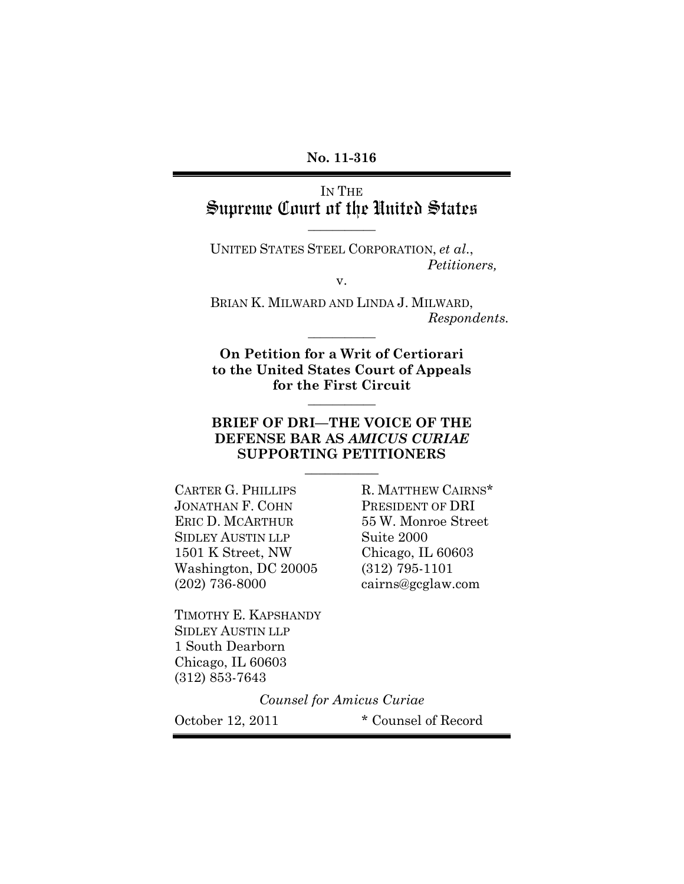#### **No. 11-316**

## IN THE Supreme Court of the United States

**\_\_\_\_\_\_\_\_\_\_\_**

UNITED STATES STEEL CORPORATION, *et al*., *Petitioners,*

v.

BRIAN K. MILWARD AND LINDA J. MILWARD, *Respondents.* **\_\_\_\_\_\_\_\_\_\_\_**

**On Petition for a Writ of Certiorari to the United States Court of Appeals for the First Circuit**

**\_\_\_\_\_\_\_\_\_\_\_**

#### **BRIEF OF DRI—THE VOICE OF THE DEFENSE BAR AS** *AMICUS CURIAE* **SUPPORTING PETITIONERS**

**\_\_\_\_\_\_\_\_\_\_\_**

JONATHAN F. COHN PRESIDENT OF DRI ERIC D. MCARTHUR 55 W. Monroe Street SIDLEY AUSTIN LLP Suite 2000 1501 K Street, NW Chicago, IL 60603 Washington, DC 20005 (312) 795-1101 (202) 736-8000 cairns@gcglaw.com

CARTER G. PHILLIPS R. MATTHEW CAIRNS\*

TIMOTHY E. KAPSHANDY SIDLEY AUSTIN LLP 1 South Dearborn Chicago, IL 60603 (312) 853-7643

*Counsel for Amicus Curiae*

October 12, 2011 \* Counsel of Record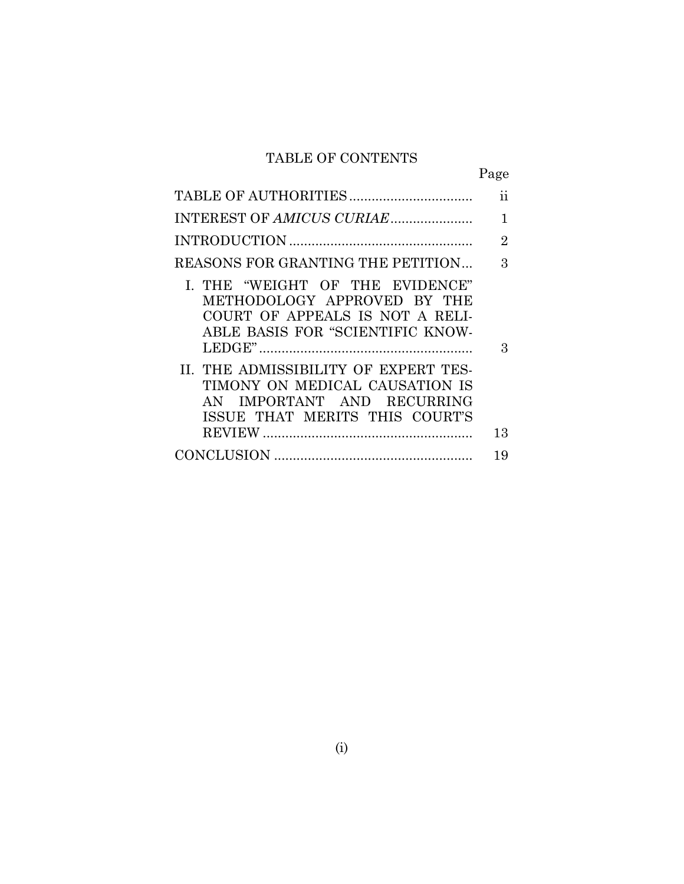### TABLE OF CONTENTS

| ۰ |  |
|---|--|

|                                                                                                                                        | 11 |
|----------------------------------------------------------------------------------------------------------------------------------------|----|
|                                                                                                                                        | 1  |
|                                                                                                                                        | 2  |
| REASONS FOR GRANTING THE PETITION                                                                                                      | 3  |
| I. THE "WEIGHT OF THE EVIDENCE"<br>METHODOLOGY APPROVED BY THE<br>COURT OF APPEALS IS NOT A RELI-<br>ABLE BASIS FOR "SCIENTIFIC KNOW-  | З  |
| II. THE ADMISSIBILITY OF EXPERT TES-<br>TIMONY ON MEDICAL CAUSATION IS<br>AN IMPORTANT AND RECURRING<br>ISSUE THAT MERITS THIS COURT'S |    |
|                                                                                                                                        | 13 |
|                                                                                                                                        | 19 |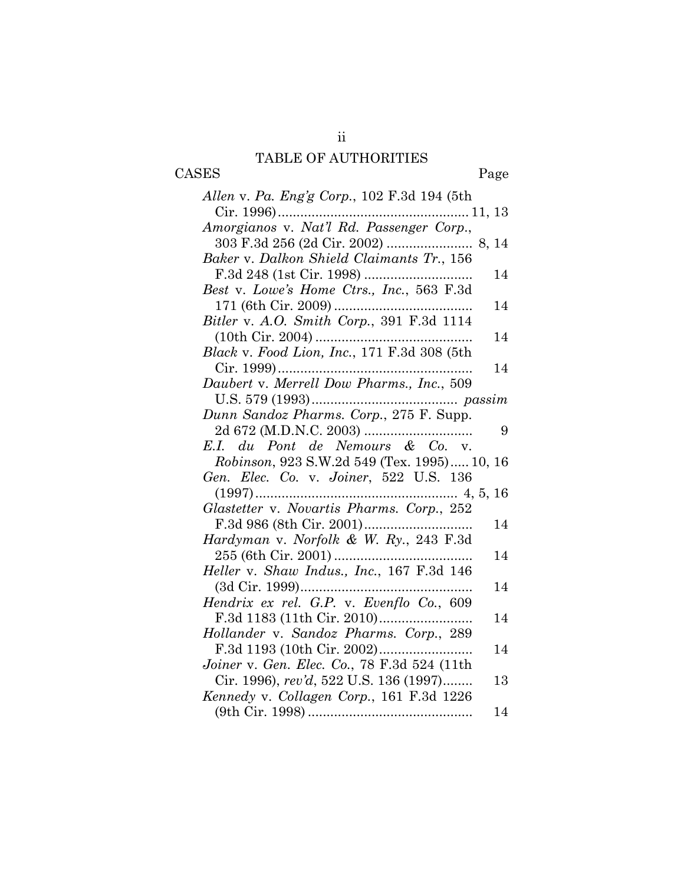## TABLE OF AUTHORITIES

CASES Page

| Allen v. Pa. Eng'g Corp., 102 F.3d 194 (5th |    |
|---------------------------------------------|----|
| $Cir. 1996$<br>11, 13                       |    |
| Amorgianos v. Nat'l Rd. Passenger Corp.,    |    |
|                                             |    |
| Baker v. Dalkon Shield Claimants Tr., 156   |    |
|                                             | 14 |
| Best v. Lowe's Home Ctrs., Inc., 563 F.3d   |    |
|                                             | 14 |
| Bitler v. A.O. Smith Corp., 391 F.3d 1114   |    |
|                                             | 14 |
| Black v. Food Lion, Inc., 171 F.3d 308 (5th |    |
|                                             | 14 |
| Daubert v. Merrell Dow Pharms., Inc., 509   |    |
|                                             |    |
|                                             |    |
|                                             | 9  |
| E.I. du Pont de Nemours & Co. v.            |    |
| Robinson, 923 S.W.2d 549 (Tex. 1995) 10, 16 |    |
| Gen. Elec. Co. v. Joiner, 522 U.S. 136      |    |
| $(1997)$                                    |    |
| Glastetter v. Novartis Pharms. Corp., 252   |    |
|                                             | 14 |
| Hardyman v. Norfolk & W. Ry., 243 F.3d      |    |
|                                             | 14 |
| Heller v. Shaw Indus., Inc., 167 F.3d 146   |    |
|                                             | 14 |
| Hendrix ex rel. G.P. v. Evenflo Co., 609    |    |
|                                             | 14 |
| Hollander v. Sandoz Pharms. Corp., 289      |    |
|                                             | 14 |
| Joiner v. Gen. Elec. Co., 78 F.3d 524 (11th |    |
| Cir. 1996), rev'd, 522 U.S. 136 (1997)      | 13 |
| Kennedy v. Collagen Corp., 161 F.3d 1226    |    |
|                                             | 14 |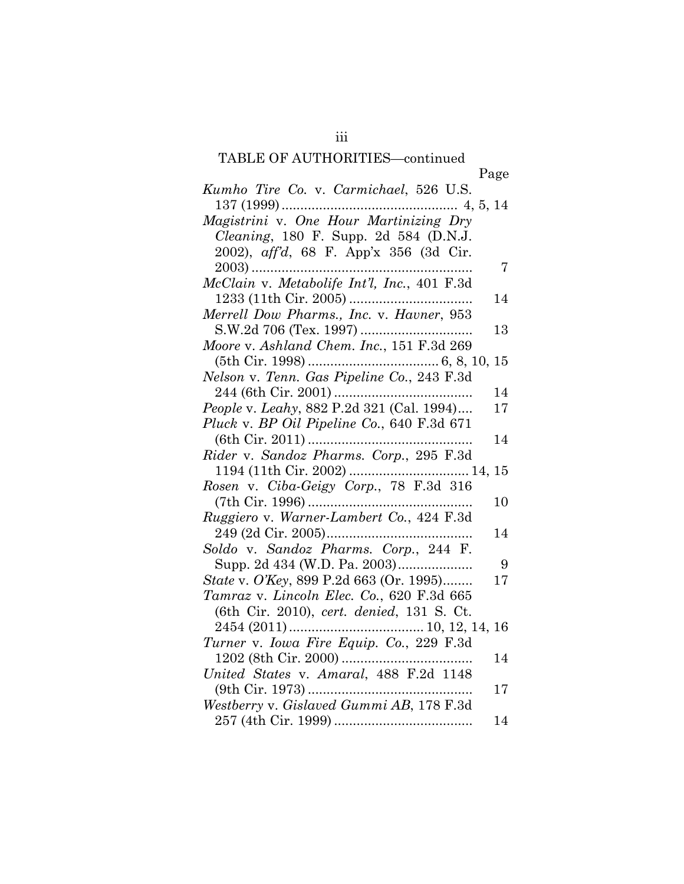# TABLE OF AUTHORITIES—continued

| TADLE OF AUTHONITIES—continued                  |  |
|-------------------------------------------------|--|
| Page                                            |  |
| Kumho Tire Co. v. Carmichael, 526 U.S.          |  |
|                                                 |  |
|                                                 |  |
| <i>Cleaning</i> , 180 F. Supp. 2d 584 (D.N.J.   |  |
| 2002), aff'd, 68 F. App'x 356 (3d Cir.          |  |
| $\overline{7}$                                  |  |
| McClain v. Metabolife Int'l, Inc., 401 F.3d     |  |
| 14                                              |  |
| Merrell Dow Pharms., Inc. v. Havner, 953        |  |
| 13                                              |  |
| Moore v. Ashland Chem. Inc., 151 F.3d 269       |  |
|                                                 |  |
| Nelson v. Tenn. Gas Pipeline Co., 243 F.3d      |  |
| 14                                              |  |
| People v. Leahy, 882 P.2d 321 (Cal. 1994)<br>17 |  |
| Pluck v. BP Oil Pipeline Co., 640 F.3d 671      |  |
| 14                                              |  |
| Rider v. Sandoz Pharms. Corp., 295 F.3d         |  |
|                                                 |  |
| Rosen v. Ciba-Geigy Corp., 78 F.3d 316          |  |
| 10                                              |  |
| Ruggiero v. Warner-Lambert Co., 424 F.3d        |  |
| 14                                              |  |
| Soldo v. Sandoz Pharms. Corp., 244 F.           |  |
| 9                                               |  |
| State v. O'Key, 899 P.2d 663 (Or. 1995)<br>17   |  |
| Tamraz v. Lincoln Elec. Co., 620 F.3d 665       |  |
| (6th Cir. 2010), cert. denied, 131 S. Ct.       |  |
|                                                 |  |
|                                                 |  |
| 14                                              |  |
| United States v. Amaral, 488 F.2d 1148          |  |
| $17\,$                                          |  |
| Westberry v. Gislaved Gummi AB, 178 F.3d        |  |
| 14                                              |  |
|                                                 |  |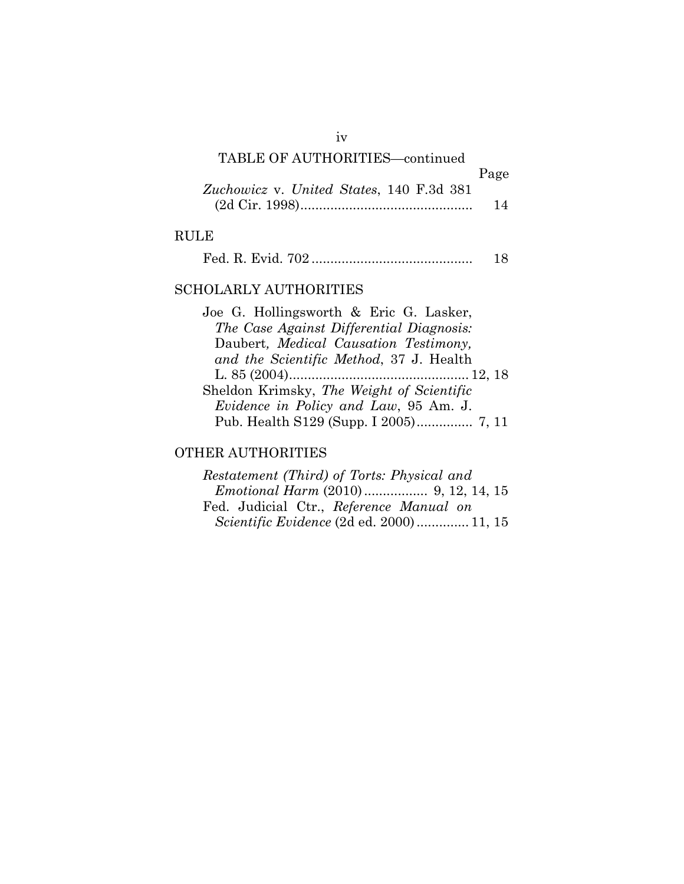## TABLE OF AUTHORITIES—continued

|                                          | Page |
|------------------------------------------|------|
| Zuchowicz v. United States, 140 F.3d 381 |      |
|                                          | 14   |

## RULE

|--|--|--|

### SCHOLARLY AUTHORITIES

| Joe G. Hollingsworth & Eric G. Lasker,        |
|-----------------------------------------------|
| The Case Against Differential Diagnosis:      |
| Daubert, Medical Causation Testimony,         |
| and the Scientific Method, 37 J. Health       |
|                                               |
| Sheldon Krimsky, The Weight of Scientific     |
| <i>Evidence in Policy and Law</i> , 95 Am. J. |
| Pub. Health S129 (Supp. I 2005) 7, 11         |
|                                               |

### OTHER AUTHORITIES

| Restatement (Third) of Torts: Physical and      |  |
|-------------------------------------------------|--|
|                                                 |  |
| Fed. Judicial Ctr., Reference Manual on         |  |
| <i>Scientific Evidence</i> (2d ed. 2000) 11, 15 |  |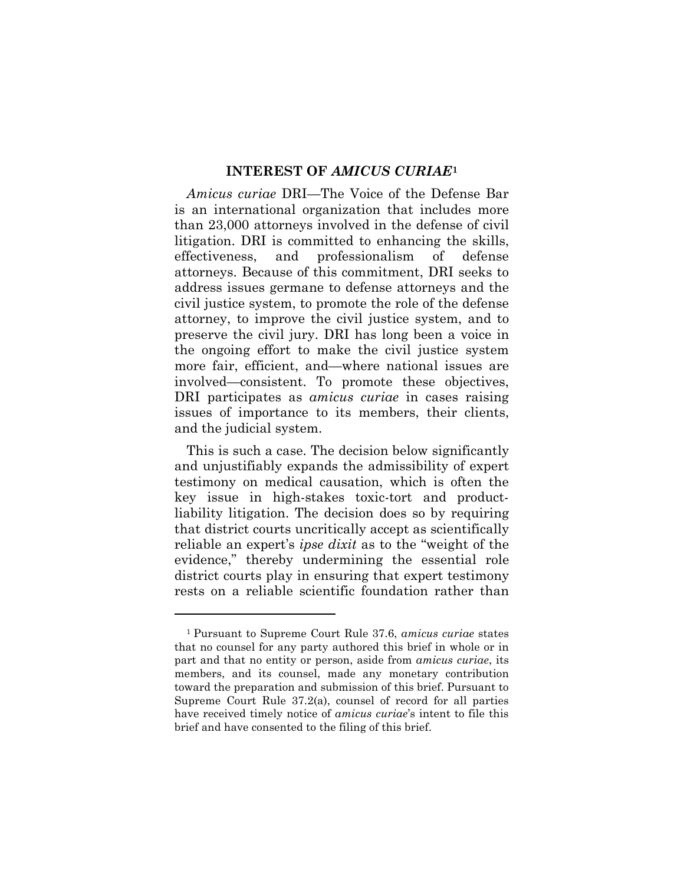#### **INTEREST OF** *AMICUS CURIAE***[1](#page-5-0)**

*Amicus curiae* DRI—The Voice of the Defense Bar is an international organization that includes more than 23,000 attorneys involved in the defense of civil litigation. DRI is committed to enhancing the skills, effectiveness, and professionalism of defense attorneys. Because of this commitment, DRI seeks to address issues germane to defense attorneys and the civil justice system, to promote the role of the defense attorney, to improve the civil justice system, and to preserve the civil jury. DRI has long been a voice in the ongoing effort to make the civil justice system more fair, efficient, and—where national issues are involved—consistent. To promote these objectives, DRI participates as *amicus curiae* in cases raising issues of importance to its members, their clients, and the judicial system.

This is such a case. The decision below significantly and unjustifiably expands the admissibility of expert testimony on medical causation, which is often the key issue in high-stakes toxic-tort and productliability litigation. The decision does so by requiring that district courts uncritically accept as scientifically reliable an expert's *ipse dixit* as to the "weight of the evidence," thereby undermining the essential role district courts play in ensuring that expert testimony rests on a reliable scientific foundation rather than

<span id="page-5-0"></span><sup>1</sup> Pursuant to Supreme Court Rule 37.6, *amicus curiae* states that no counsel for any party authored this brief in whole or in part and that no entity or person, aside from *amicus curiae*, its members, and its counsel, made any monetary contribution toward the preparation and submission of this brief. Pursuant to Supreme Court Rule 37.2(a), counsel of record for all parties have received timely notice of *amicus curiae*'s intent to file this brief and have consented to the filing of this brief.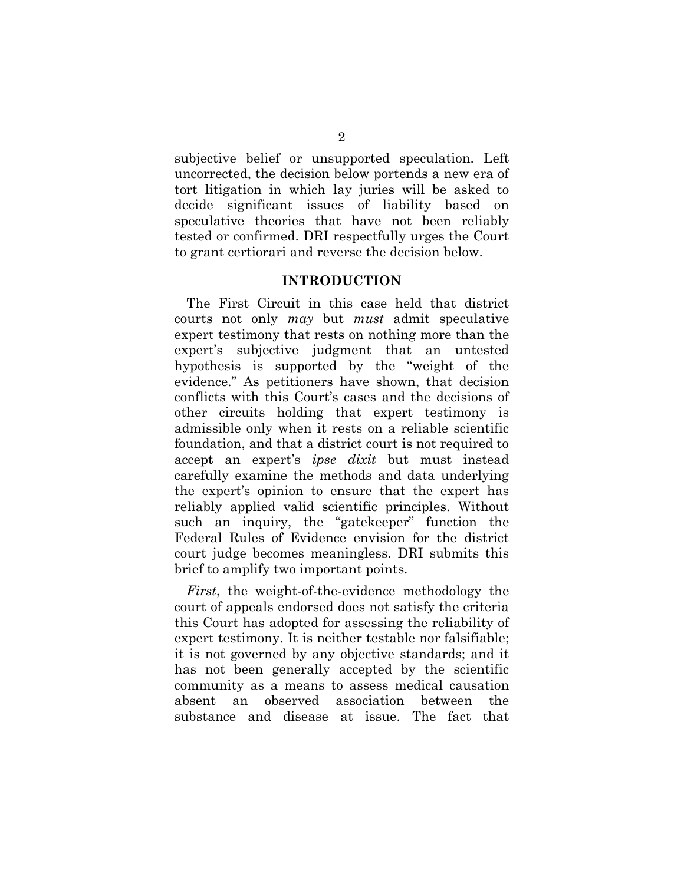subjective belief or unsupported speculation. Left uncorrected, the decision below portends a new era of tort litigation in which lay juries will be asked to decide significant issues of liability based on speculative theories that have not been reliably tested or confirmed. DRI respectfully urges the Court to grant certiorari and reverse the decision below.

#### **INTRODUCTION**

The First Circuit in this case held that district courts not only *may* but *must* admit speculative expert testimony that rests on nothing more than the expert's subjective judgment that an untested hypothesis is supported by the "weight of the evidence." As petitioners have shown, that decision conflicts with this Court's cases and the decisions of other circuits holding that expert testimony is admissible only when it rests on a reliable scientific foundation, and that a district court is not required to accept an expert's *ipse dixit* but must instead carefully examine the methods and data underlying the expert's opinion to ensure that the expert has reliably applied valid scientific principles. Without such an inquiry, the "gatekeeper" function the Federal Rules of Evidence envision for the district court judge becomes meaningless. DRI submits this brief to amplify two important points.

*First*, the weight-of-the-evidence methodology the court of appeals endorsed does not satisfy the criteria this Court has adopted for assessing the reliability of expert testimony. It is neither testable nor falsifiable; it is not governed by any objective standards; and it has not been generally accepted by the scientific community as a means to assess medical causation absent an observed association between the substance and disease at issue. The fact that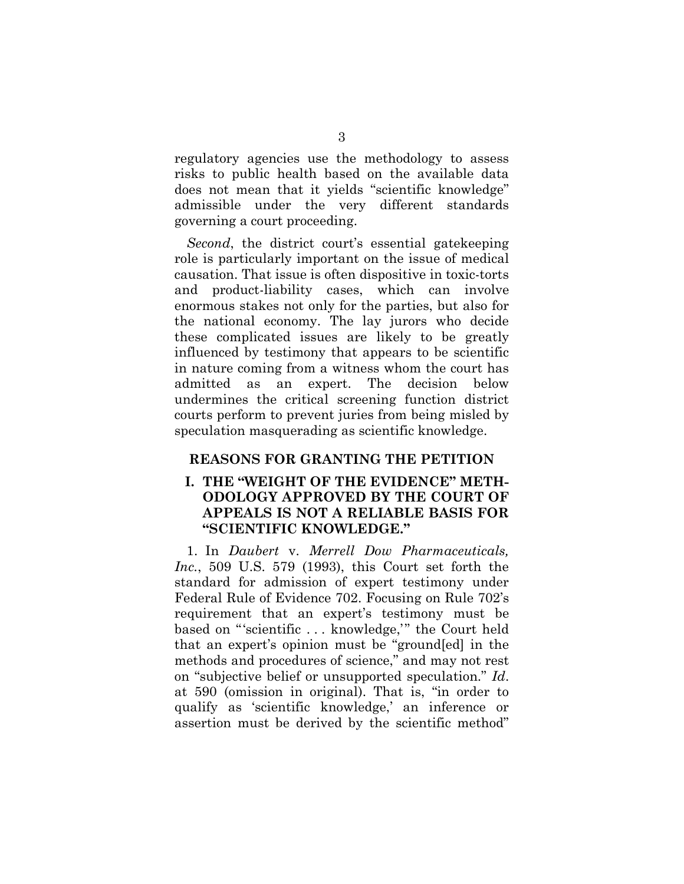regulatory agencies use the methodology to assess risks to public health based on the available data does not mean that it yields "scientific knowledge" admissible under the very different standards governing a court proceeding.

*Second*, the district court's essential gatekeeping role is particularly important on the issue of medical causation. That issue is often dispositive in toxic-torts and product-liability cases, which can involve enormous stakes not only for the parties, but also for the national economy. The lay jurors who decide these complicated issues are likely to be greatly influenced by testimony that appears to be scientific in nature coming from a witness whom the court has admitted as an expert. The decision below undermines the critical screening function district courts perform to prevent juries from being misled by speculation masquerading as scientific knowledge.

#### **REASONS FOR GRANTING THE PETITION**

#### **I. THE "WEIGHT OF THE EVIDENCE" METH-ODOLOGY APPROVED BY THE COURT OF APPEALS IS NOT A RELIABLE BASIS FOR "SCIENTIFIC KNOWLEDGE."**

1. In *Daubert* v. *Merrell Dow Pharmaceuticals, Inc.*, 509 U.S. 579 (1993), this Court set forth the standard for admission of expert testimony under Federal Rule of Evidence 702. Focusing on Rule 702's requirement that an expert's testimony must be based on "'scientific . . . knowledge,'" the Court held that an expert's opinion must be "ground[ed] in the methods and procedures of science," and may not rest on "subjective belief or unsupported speculation." *Id*. at 590 (omission in original). That is, "in order to qualify as 'scientific knowledge,' an inference or assertion must be derived by the scientific method"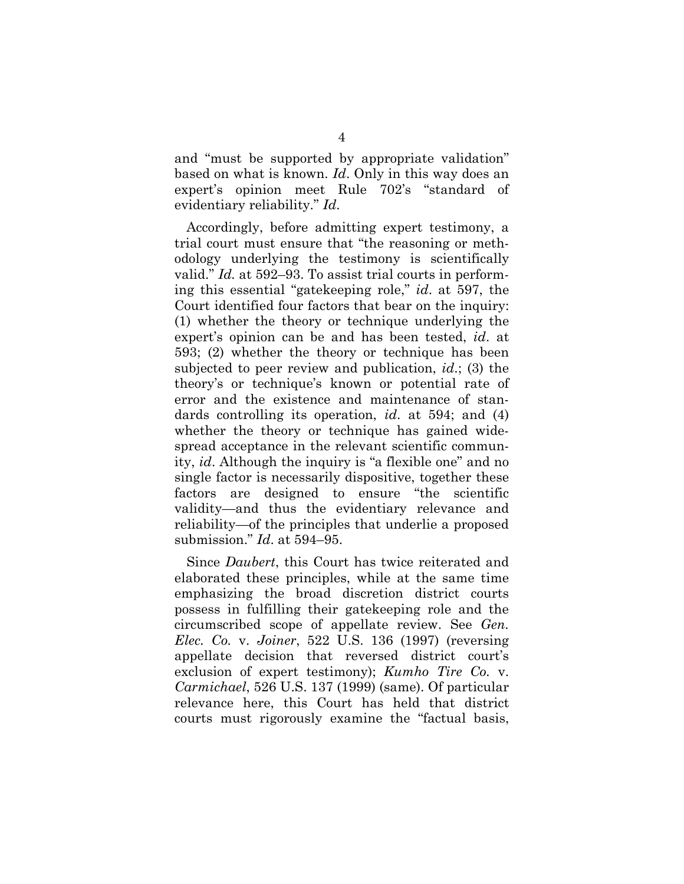and "must be supported by appropriate validation" based on what is known. *Id*. Only in this way does an expert's opinion meet Rule 702's "standard of evidentiary reliability." *Id*.

Accordingly, before admitting expert testimony, a trial court must ensure that "the reasoning or methodology underlying the testimony is scientifically valid." *Id.* at 592–93. To assist trial courts in performing this essential "gatekeeping role," *id*. at 597, the Court identified four factors that bear on the inquiry: (1) whether the theory or technique underlying the expert's opinion can be and has been tested, *id*. at 593; (2) whether the theory or technique has been subjected to peer review and publication, *id*.; (3) the theory's or technique's known or potential rate of error and the existence and maintenance of standards controlling its operation, *id*. at 594; and (4) whether the theory or technique has gained widespread acceptance in the relevant scientific community, *id*. Although the inquiry is "a flexible one" and no single factor is necessarily dispositive, together these factors are designed to ensure "the scientific validity—and thus the evidentiary relevance and reliability—of the principles that underlie a proposed submission." *Id*. at 594–95.

Since *Daubert*, this Court has twice reiterated and elaborated these principles, while at the same time emphasizing the broad discretion district courts possess in fulfilling their gatekeeping role and the circumscribed scope of appellate review. See *Gen. Elec. Co.* v. *Joiner*, 522 U.S. 136 (1997) (reversing appellate decision that reversed district court's exclusion of expert testimony); *Kumho Tire Co.* v. *Carmichael*, 526 U.S. 137 (1999) (same). Of particular relevance here, this Court has held that district courts must rigorously examine the "factual basis,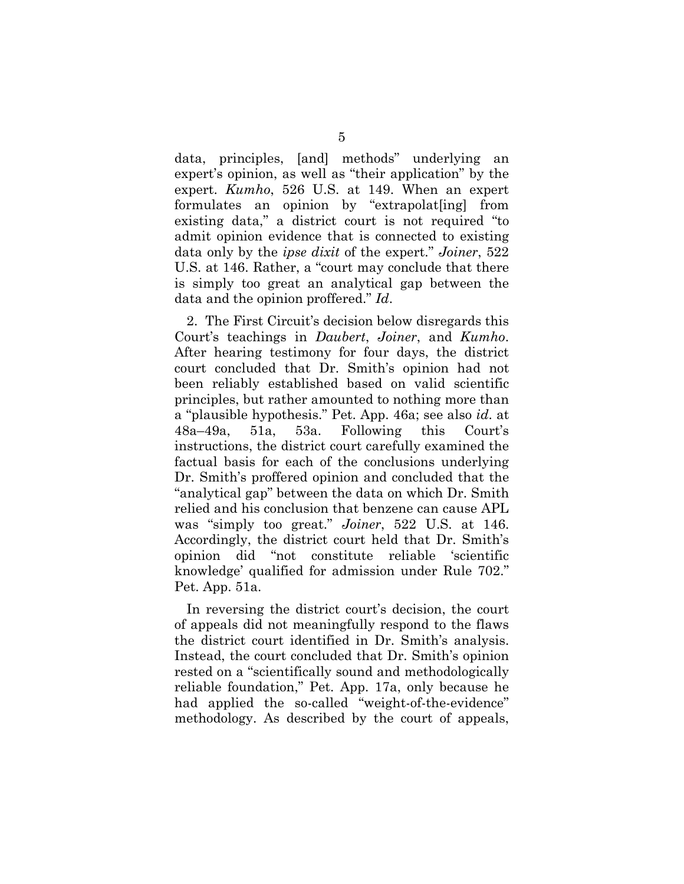data, principles, [and] methods" underlying an expert's opinion, as well as "their application" by the expert. *Kumho*, 526 U.S. at 149. When an expert formulates an opinion by "extrapolat[ing] from existing data," a district court is not required "to admit opinion evidence that is connected to existing data only by the *ipse dixit* of the expert." *Joiner*, 522 U.S. at 146. Rather, a "court may conclude that there is simply too great an analytical gap between the data and the opinion proffered." *Id*.

2. The First Circuit's decision below disregards this Court's teachings in *Daubert*, *Joiner*, and *Kumho*. After hearing testimony for four days, the district court concluded that Dr. Smith's opinion had not been reliably established based on valid scientific principles, but rather amounted to nothing more than a "plausible hypothesis." Pet. App. 46a; see also *id*. at 48a–49a, 51a, 53a. Following this Court's instructions, the district court carefully examined the factual basis for each of the conclusions underlying Dr. Smith's proffered opinion and concluded that the "analytical gap" between the data on which Dr. Smith relied and his conclusion that benzene can cause APL was "simply too great." *Joiner*, 522 U.S. at 146. Accordingly, the district court held that Dr. Smith's opinion did "not constitute reliable 'scientific knowledge' qualified for admission under Rule 702." Pet. App. 51a.

In reversing the district court's decision, the court of appeals did not meaningfully respond to the flaws the district court identified in Dr. Smith's analysis. Instead, the court concluded that Dr. Smith's opinion rested on a "scientifically sound and methodologically reliable foundation," Pet. App. 17a, only because he had applied the so-called "weight-of-the-evidence" methodology. As described by the court of appeals,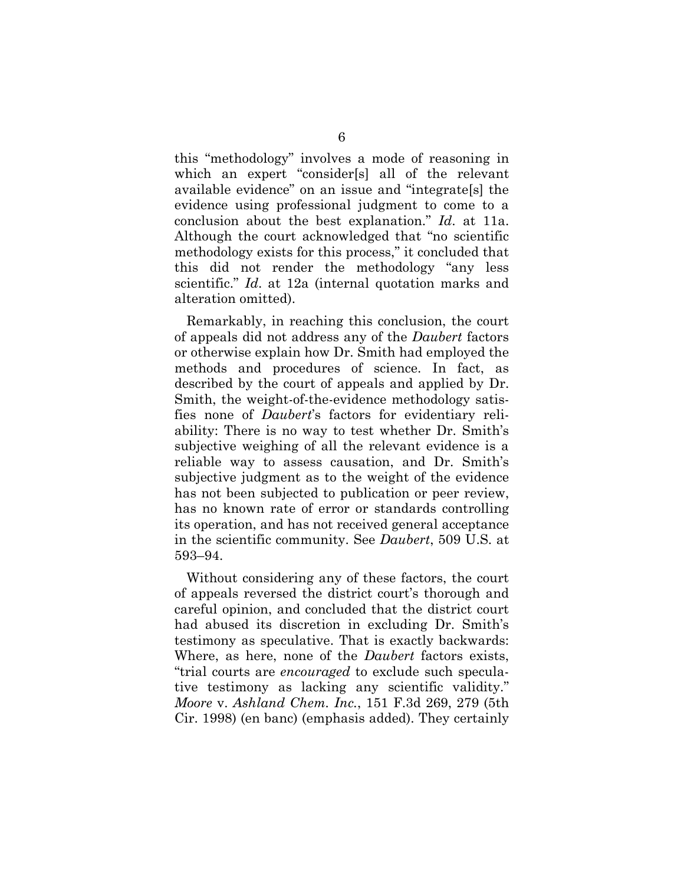this "methodology" involves a mode of reasoning in which an expert "consider[s] all of the relevant available evidence" on an issue and "integrate[s] the evidence using professional judgment to come to a conclusion about the best explanation." *Id*. at 11a. Although the court acknowledged that "no scientific methodology exists for this process," it concluded that this did not render the methodology "any less scientific." *Id*. at 12a (internal quotation marks and alteration omitted).

Remarkably, in reaching this conclusion, the court of appeals did not address any of the *Daubert* factors or otherwise explain how Dr. Smith had employed the methods and procedures of science. In fact, as described by the court of appeals and applied by Dr. Smith, the weight-of-the-evidence methodology satisfies none of *Daubert*'s factors for evidentiary reliability: There is no way to test whether Dr. Smith's subjective weighing of all the relevant evidence is a reliable way to assess causation, and Dr. Smith's subjective judgment as to the weight of the evidence has not been subjected to publication or peer review, has no known rate of error or standards controlling its operation, and has not received general acceptance in the scientific community. See *Daubert*, 509 U.S. at 593–94.

Without considering any of these factors, the court of appeals reversed the district court's thorough and careful opinion, and concluded that the district court had abused its discretion in excluding Dr. Smith's testimony as speculative. That is exactly backwards: Where, as here, none of the *Daubert* factors exists, "trial courts are *encouraged* to exclude such speculative testimony as lacking any scientific validity." *Moore* v. *Ashland Chem. Inc.*, 151 F.3d 269, 279 (5th Cir. 1998) (en banc) (emphasis added). They certainly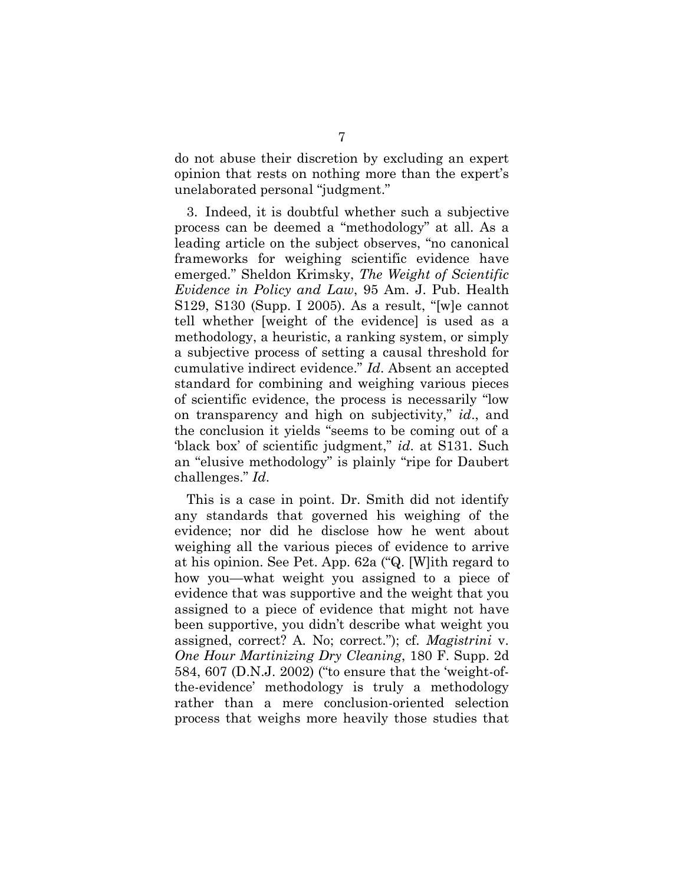do not abuse their discretion by excluding an expert opinion that rests on nothing more than the expert's unelaborated personal "judgment."

3. Indeed, it is doubtful whether such a subjective process can be deemed a "methodology" at all. As a leading article on the subject observes, "no canonical frameworks for weighing scientific evidence have emerged." Sheldon Krimsky, *The Weight of Scientific Evidence in Policy and Law*, 95 Am. J. Pub. Health S129, S130 (Supp. I 2005). As a result, "[w]e cannot tell whether [weight of the evidence] is used as a methodology, a heuristic, a ranking system, or simply a subjective process of setting a causal threshold for cumulative indirect evidence." *Id*. Absent an accepted standard for combining and weighing various pieces of scientific evidence, the process is necessarily "low on transparency and high on subjectivity," *id*., and the conclusion it yields "seems to be coming out of a 'black box' of scientific judgment," *id*. at S131. Such an "elusive methodology" is plainly "ripe for Daubert challenges." *Id*.

This is a case in point. Dr. Smith did not identify any standards that governed his weighing of the evidence; nor did he disclose how he went about weighing all the various pieces of evidence to arrive at his opinion. See Pet. App. 62a ("Q. [W]ith regard to how you—what weight you assigned to a piece of evidence that was supportive and the weight that you assigned to a piece of evidence that might not have been supportive, you didn't describe what weight you assigned, correct? A. No; correct."); cf. *Magistrini* v. *One Hour Martinizing Dry Cleaning*, 180 F. Supp. 2d 584, 607 (D.N.J. 2002) ("to ensure that the 'weight-ofthe-evidence' methodology is truly a methodology rather than a mere conclusion-oriented selection process that weighs more heavily those studies that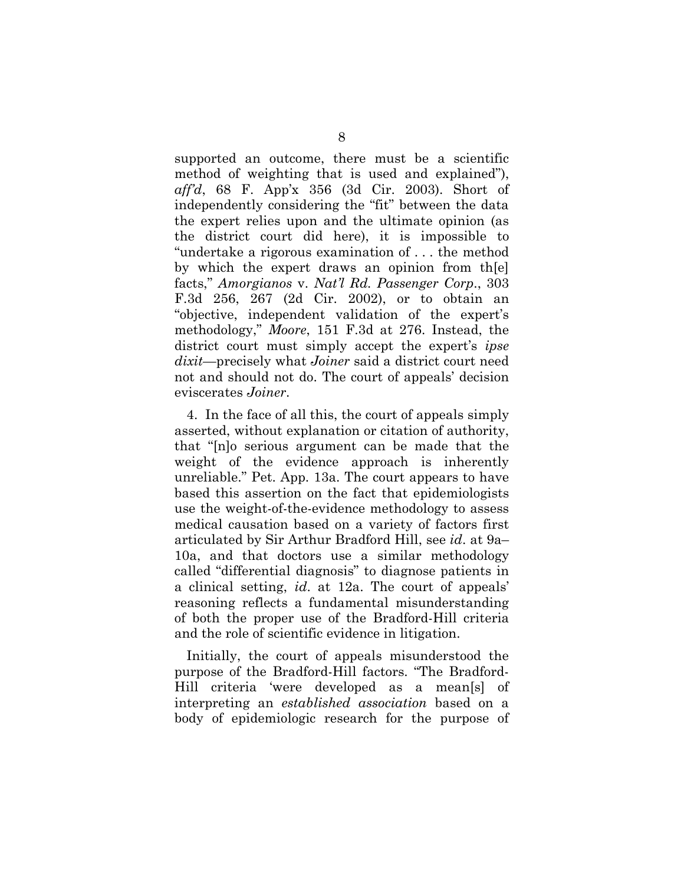supported an outcome, there must be a scientific method of weighting that is used and explained"), *aff'd*, 68 F. App'x 356 (3d Cir. 2003). Short of independently considering the "fit" between the data the expert relies upon and the ultimate opinion (as the district court did here), it is impossible to "undertake a rigorous examination of . . . the method by which the expert draws an opinion from th[e] facts," *Amorgianos* v. *Nat'l Rd. Passenger Corp*., 303 F.3d 256, 267 (2d Cir. 2002), or to obtain an "objective, independent validation of the expert's methodology," *Moore*, 151 F.3d at 276. Instead, the district court must simply accept the expert's *ipse dixit*—precisely what *Joiner* said a district court need not and should not do. The court of appeals' decision eviscerates *Joiner*.

4. In the face of all this, the court of appeals simply asserted, without explanation or citation of authority, that "[n]o serious argument can be made that the weight of the evidence approach is inherently unreliable." Pet. App. 13a. The court appears to have based this assertion on the fact that epidemiologists use the weight-of-the-evidence methodology to assess medical causation based on a variety of factors first articulated by Sir Arthur Bradford Hill, see *id*. at 9a– 10a, and that doctors use a similar methodology called "differential diagnosis" to diagnose patients in a clinical setting, *id*. at 12a. The court of appeals' reasoning reflects a fundamental misunderstanding of both the proper use of the Bradford-Hill criteria and the role of scientific evidence in litigation.

Initially, the court of appeals misunderstood the purpose of the Bradford-Hill factors. "The Bradford-Hill criteria 'were developed as a mean[s] of interpreting an *established association* based on a body of epidemiologic research for the purpose of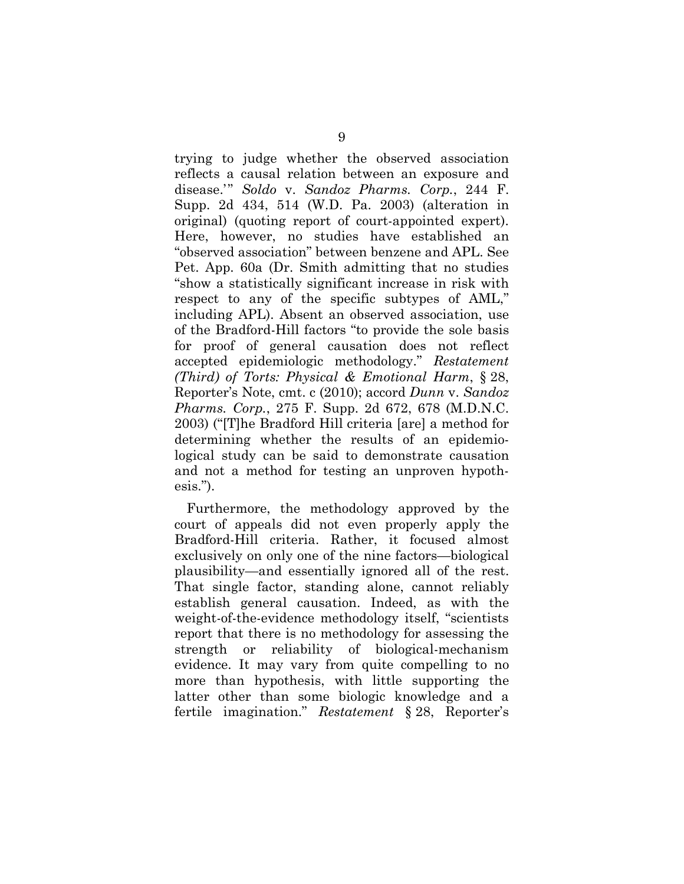trying to judge whether the observed association reflects a causal relation between an exposure and disease.'" *Soldo* v. *Sandoz Pharms. Corp.*, 244 F. Supp. 2d 434, 514 (W.D. Pa. 2003) (alteration in original) (quoting report of court-appointed expert). Here, however, no studies have established an "observed association" between benzene and APL. See Pet. App. 60a (Dr. Smith admitting that no studies "show a statistically significant increase in risk with respect to any of the specific subtypes of AML," including APL). Absent an observed association, use of the Bradford-Hill factors "to provide the sole basis for proof of general causation does not reflect accepted epidemiologic methodology." *Restatement (Third) of Torts: Physical & Emotional Harm*, § 28, Reporter's Note, cmt. c (2010); accord *Dunn* v. *Sandoz Pharms. Corp.*, 275 F. Supp. 2d 672, 678 (M.D.N.C. 2003) ("[T]he Bradford Hill criteria [are] a method for determining whether the results of an epidemiological study can be said to demonstrate causation and not a method for testing an unproven hypothesis.").

Furthermore, the methodology approved by the court of appeals did not even properly apply the Bradford-Hill criteria. Rather, it focused almost exclusively on only one of the nine factors—biological plausibility—and essentially ignored all of the rest. That single factor, standing alone, cannot reliably establish general causation. Indeed, as with the weight-of-the-evidence methodology itself, "scientists report that there is no methodology for assessing the strength or reliability of biological-mechanism evidence. It may vary from quite compelling to no more than hypothesis, with little supporting the latter other than some biologic knowledge and a fertile imagination." *Restatement* § 28, Reporter's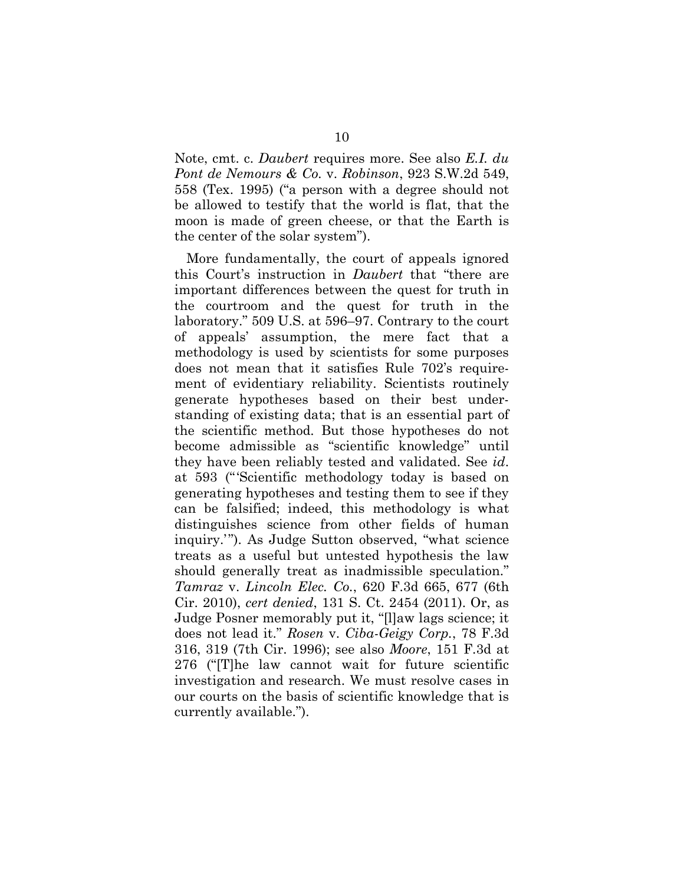Note, cmt. c. *Daubert* requires more. See also *E.I. du Pont de Nemours & Co.* v. *Robinson*, 923 S.W.2d 549, 558 (Tex. 1995) ("a person with a degree should not be allowed to testify that the world is flat, that the moon is made of green cheese, or that the Earth is the center of the solar system").

More fundamentally, the court of appeals ignored this Court's instruction in *Daubert* that "there are important differences between the quest for truth in the courtroom and the quest for truth in the laboratory." 509 U.S. at 596–97. Contrary to the court of appeals' assumption, the mere fact that a methodology is used by scientists for some purposes does not mean that it satisfies Rule 702's requirement of evidentiary reliability. Scientists routinely generate hypotheses based on their best understanding of existing data; that is an essential part of the scientific method. But those hypotheses do not become admissible as "scientific knowledge" until they have been reliably tested and validated. See *id*. at 593 ("'Scientific methodology today is based on generating hypotheses and testing them to see if they can be falsified; indeed, this methodology is what distinguishes science from other fields of human inquiry.'"). As Judge Sutton observed, "what science treats as a useful but untested hypothesis the law should generally treat as inadmissible speculation." *Tamraz* v. *Lincoln Elec. Co.*, 620 F.3d 665, 677 (6th Cir. 2010), *cert denied*, 131 S. Ct. 2454 (2011). Or, as Judge Posner memorably put it, "[l]aw lags science; it does not lead it." *Rosen* v. *Ciba-Geigy Corp.*, 78 F.3d 316, 319 (7th Cir. 1996); see also *Moore*, 151 F.3d at 276 ("[T]he law cannot wait for future scientific investigation and research. We must resolve cases in our courts on the basis of scientific knowledge that is currently available.").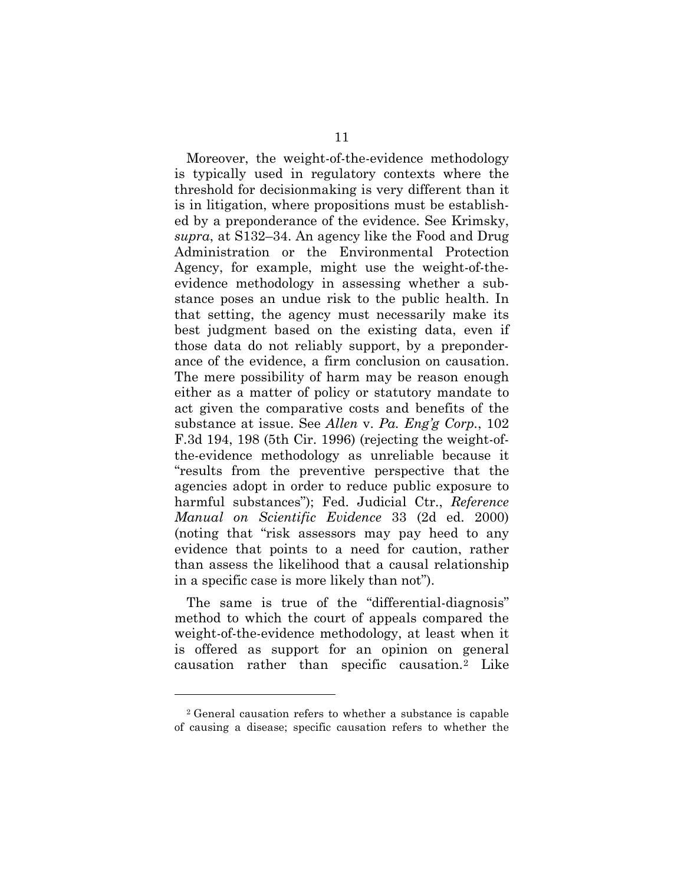Moreover, the weight-of-the-evidence methodology is typically used in regulatory contexts where the threshold for decisionmaking is very different than it is in litigation, where propositions must be established by a preponderance of the evidence. See Krimsky, *supra*, at S132–34. An agency like the Food and Drug Administration or the Environmental Protection Agency, for example, might use the weight-of-theevidence methodology in assessing whether a substance poses an undue risk to the public health. In that setting, the agency must necessarily make its best judgment based on the existing data, even if those data do not reliably support, by a preponderance of the evidence, a firm conclusion on causation. The mere possibility of harm may be reason enough either as a matter of policy or statutory mandate to act given the comparative costs and benefits of the substance at issue. See *Allen* v. *Pa. Eng'g Corp.*, 102 F.3d 194, 198 (5th Cir. 1996) (rejecting the weight-ofthe-evidence methodology as unreliable because it "results from the preventive perspective that the agencies adopt in order to reduce public exposure to harmful substances"); Fed. Judicial Ctr., *Reference Manual on Scientific Evidence* 33 (2d ed. 2000) (noting that "risk assessors may pay heed to any evidence that points to a need for caution, rather than assess the likelihood that a causal relationship in a specific case is more likely than not").

The same is true of the "differential-diagnosis" method to which the court of appeals compared the weight-of-the-evidence methodology, at least when it is offered as support for an opinion on general causation rather than specific causation.[2](#page-15-0) Like

<span id="page-15-0"></span><sup>2</sup> General causation refers to whether a substance is capable of causing a disease; specific causation refers to whether the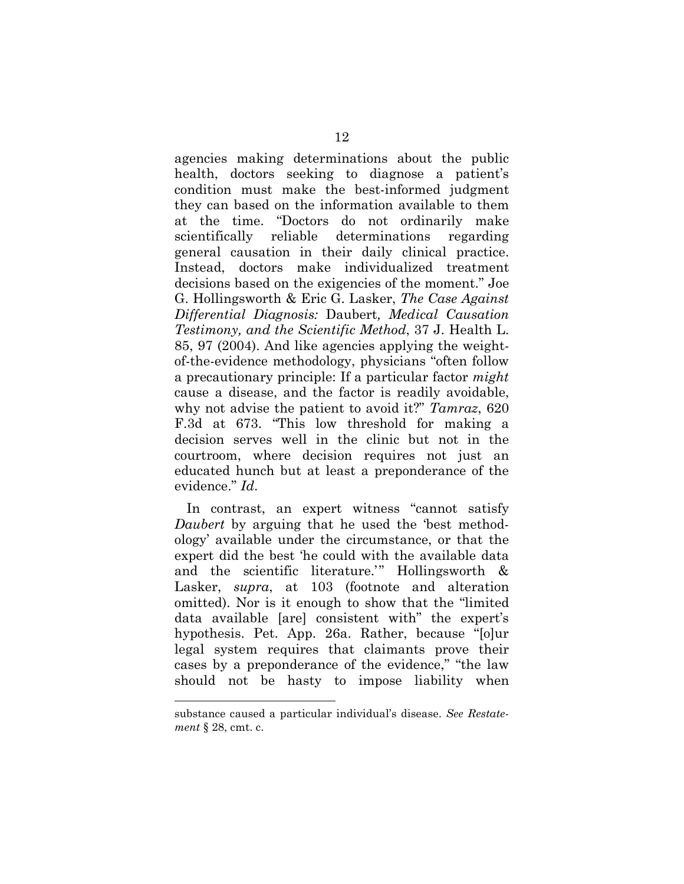agencies making determinations about the public health, doctors seeking to diagnose a patient's condition must make the best-informed judgment they can based on the information available to them at the time. "Doctors do not ordinarily make scientifically reliable determinations regarding general causation in their daily clinical practice. Instead, doctors make individualized treatment decisions based on the exigencies of the moment." Joe G. Hollingsworth & Eric G. Lasker, *The Case Against Differential Diagnosis:* Daubert*, Medical Causation Testimony, and the Scientific Method*, 37 J. Health L. 85, 97 (2004). And like agencies applying the weightof-the-evidence methodology, physicians "often follow a precautionary principle: If a particular factor *might* cause a disease, and the factor is readily avoidable, why not advise the patient to avoid it?" *Tamraz*, 620 F.3d at 673. "This low threshold for making a decision serves well in the clinic but not in the courtroom, where decision requires not just an educated hunch but at least a preponderance of the evidence." *Id*.

In contrast, an expert witness "cannot satisfy *Daubert* by arguing that he used the 'best methodology' available under the circumstance, or that the expert did the best 'he could with the available data and the scientific literature.'" Hollingsworth & Lasker, *supra*, at 103 (footnote and alteration omitted). Nor is it enough to show that the "limited data available [are] consistent with" the expert's hypothesis. Pet. App. 26a. Rather, because "[o]ur legal system requires that claimants prove their cases by a preponderance of the evidence," "the law should not be hasty to impose liability when

substance caused a particular individual's disease. *See Restatement* § 28, cmt. c.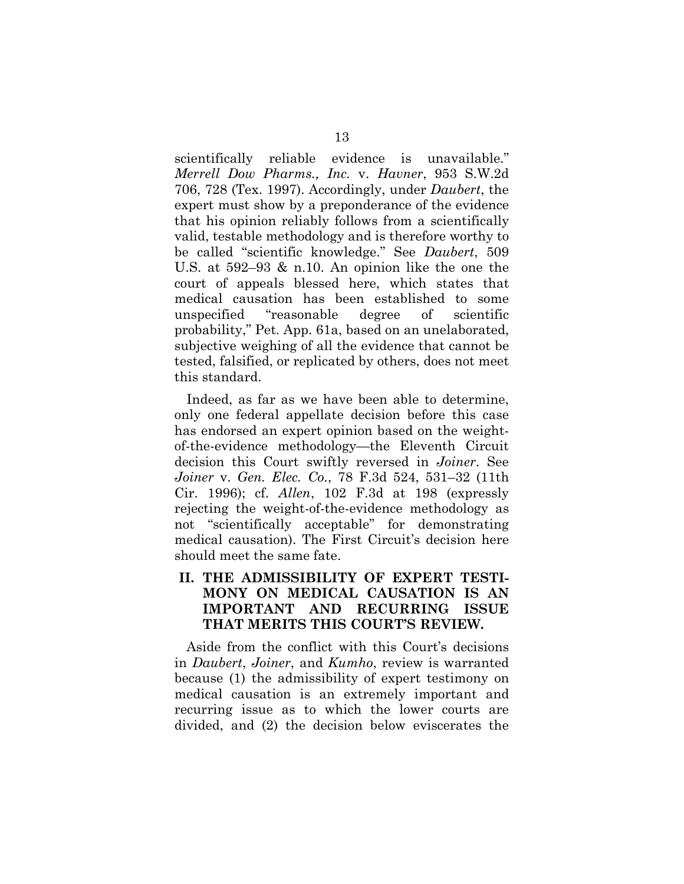scientifically reliable evidence is unavailable." *Merrell Dow Pharms., Inc.* v. *Havner*, 953 S.W.2d 706, 728 (Tex. 1997). Accordingly, under *Daubert*, the expert must show by a preponderance of the evidence that his opinion reliably follows from a scientifically valid, testable methodology and is therefore worthy to be called "scientific knowledge." See *Daubert*, 509 U.S. at 592–93 & n.10. An opinion like the one the court of appeals blessed here, which states that medical causation has been established to some unspecified "reasonable degree of scientific probability," Pet. App. 61a, based on an unelaborated, subjective weighing of all the evidence that cannot be tested, falsified, or replicated by others, does not meet this standard.

Indeed, as far as we have been able to determine, only one federal appellate decision before this case has endorsed an expert opinion based on the weightof-the-evidence methodology—the Eleventh Circuit decision this Court swiftly reversed in *Joiner*. See *Joiner* v. *Gen. Elec. Co.*, 78 F.3d 524, 531–32 (11th Cir. 1996); cf. *Allen*, 102 F.3d at 198 (expressly rejecting the weight-of-the-evidence methodology as not "scientifically acceptable" for demonstrating medical causation). The First Circuit's decision here should meet the same fate.

### **II. THE ADMISSIBILITY OF EXPERT TESTI-MONY ON MEDICAL CAUSATION IS AN IMPORTANT AND RECURRING ISSUE THAT MERITS THIS COURT'S REVIEW.**

Aside from the conflict with this Court's decisions in *Daubert*, *Joiner*, and *Kumho*, review is warranted because (1) the admissibility of expert testimony on medical causation is an extremely important and recurring issue as to which the lower courts are divided, and (2) the decision below eviscerates the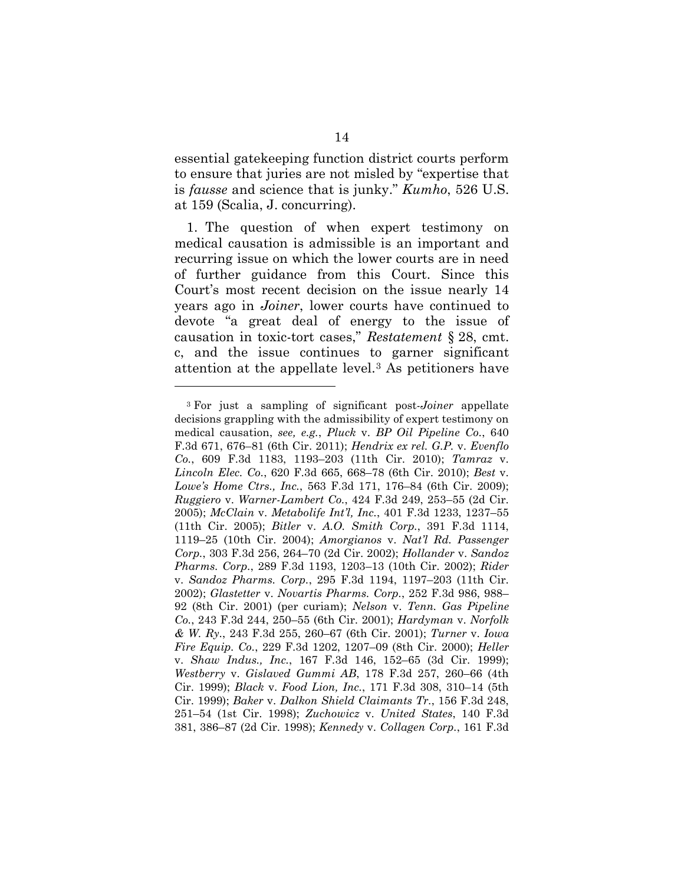essential gatekeeping function district courts perform to ensure that juries are not misled by "expertise that is *fausse* and science that is junky." *Kumho*, 526 U.S. at 159 (Scalia, J. concurring).

1. The question of when expert testimony on medical causation is admissible is an important and recurring issue on which the lower courts are in need of further guidance from this Court. Since this Court's most recent decision on the issue nearly 14 years ago in *Joiner*, lower courts have continued to devote "a great deal of energy to the issue of causation in toxic-tort cases," *Restatement* § 28, cmt. c, and the issue continues to garner significant attention at the appellate level.[3](#page-18-0) As petitioners have

<span id="page-18-0"></span><sup>3</sup> For just a sampling of significant post-*Joiner* appellate decisions grappling with the admissibility of expert testimony on medical causation, *see, e.g.*, *Pluck* v. *BP Oil Pipeline Co.*, 640 F.3d 671, 676–81 (6th Cir. 2011); *Hendrix ex rel. G.P.* v. *Evenflo Co.*, 609 F.3d 1183, 1193–203 (11th Cir. 2010); *Tamraz* v. *Lincoln Elec. Co.*, 620 F.3d 665, 668–78 (6th Cir. 2010); *Best* v. *Lowe's Home Ctrs., Inc.*, 563 F.3d 171, 176–84 (6th Cir. 2009); *Ruggiero* v. *Warner-Lambert Co.*, 424 F.3d 249, 253–55 (2d Cir. 2005); *McClain* v. *Metabolife Int'l, Inc.*, 401 F.3d 1233, 1237–55 (11th Cir. 2005); *Bitler* v. *A.O. Smith Corp.*, 391 F.3d 1114, 1119–25 (10th Cir. 2004); *Amorgianos* v. *Nat'l Rd. Passenger Corp.*, 303 F.3d 256, 264–70 (2d Cir. 2002); *Hollander* v. *Sandoz Pharms. Corp.*, 289 F.3d 1193, 1203–13 (10th Cir. 2002); *Rider*  v. *Sandoz Pharms. Corp.*, 295 F.3d 1194, 1197–203 (11th Cir. 2002); *Glastetter* v. *Novartis Pharms. Corp.*, 252 F.3d 986, 988– 92 (8th Cir. 2001) (per curiam); *Nelson* v. *Tenn. Gas Pipeline Co.*, 243 F.3d 244, 250–55 (6th Cir. 2001); *Hardyman* v. *Norfolk & W. Ry.*, 243 F.3d 255, 260–67 (6th Cir. 2001); *Turner* v. *Iowa Fire Equip. Co.*, 229 F.3d 1202, 1207–09 (8th Cir. 2000); *Heller*  v. *Shaw Indus., Inc.*, 167 F.3d 146, 152–65 (3d Cir. 1999); *Westberry* v. *Gislaved Gummi AB*, 178 F.3d 257, 260–66 (4th Cir. 1999); *Black* v. *Food Lion, Inc.*, 171 F.3d 308, 310–14 (5th Cir. 1999); *Baker* v. *Dalkon Shield Claimants Tr.*, 156 F.3d 248, 251–54 (1st Cir. 1998); *Zuchowicz* v. *United States*, 140 F.3d 381, 386–87 (2d Cir. 1998); *Kennedy* v. *Collagen Corp.*, 161 F.3d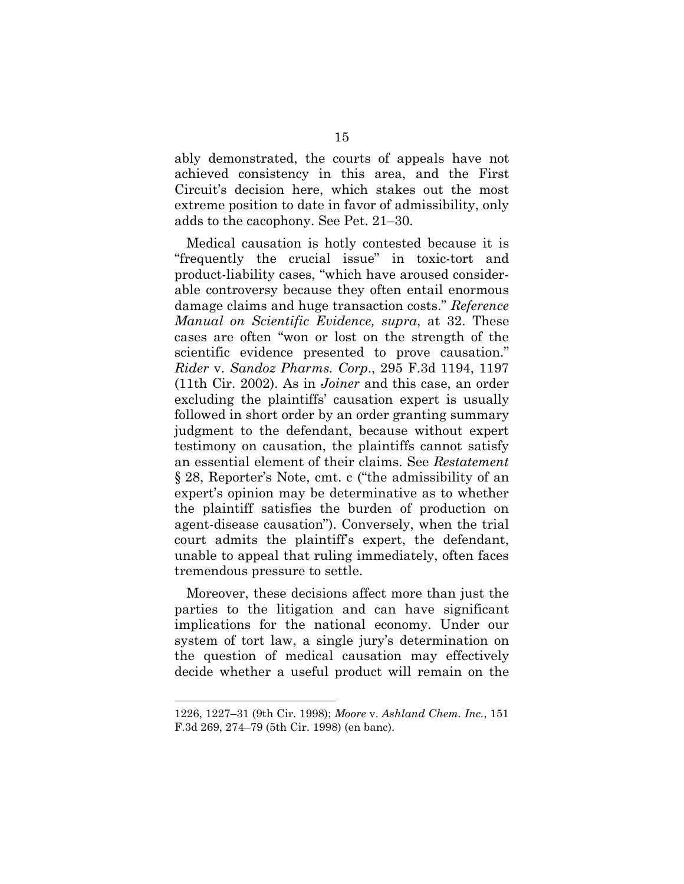ably demonstrated, the courts of appeals have not achieved consistency in this area, and the First Circuit's decision here, which stakes out the most extreme position to date in favor of admissibility, only adds to the cacophony. See Pet. 21–30.

Medical causation is hotly contested because it is "frequently the crucial issue" in toxic-tort and product-liability cases, "which have aroused considerable controversy because they often entail enormous damage claims and huge transaction costs." *Reference Manual on Scientific Evidence, supra*, at 32. These cases are often "won or lost on the strength of the scientific evidence presented to prove causation." *Rider* v. *Sandoz Pharms. Corp*., 295 F.3d 1194, 1197 (11th Cir. 2002). As in *Joiner* and this case, an order excluding the plaintiffs' causation expert is usually followed in short order by an order granting summary judgment to the defendant, because without expert testimony on causation, the plaintiffs cannot satisfy an essential element of their claims. See *Restatement* § 28, Reporter's Note, cmt. c ("the admissibility of an expert's opinion may be determinative as to whether the plaintiff satisfies the burden of production on agent-disease causation"). Conversely, when the trial court admits the plaintiff's expert, the defendant, unable to appeal that ruling immediately, often faces tremendous pressure to settle.

Moreover, these decisions affect more than just the parties to the litigation and can have significant implications for the national economy. Under our system of tort law, a single jury's determination on the question of medical causation may effectively decide whether a useful product will remain on the

<sup>1226, 1227–31 (9</sup>th Cir. 1998); *Moore* v. *Ashland Chem. Inc.*, 151 F.3d 269, 274–79 (5th Cir. 1998) (en banc).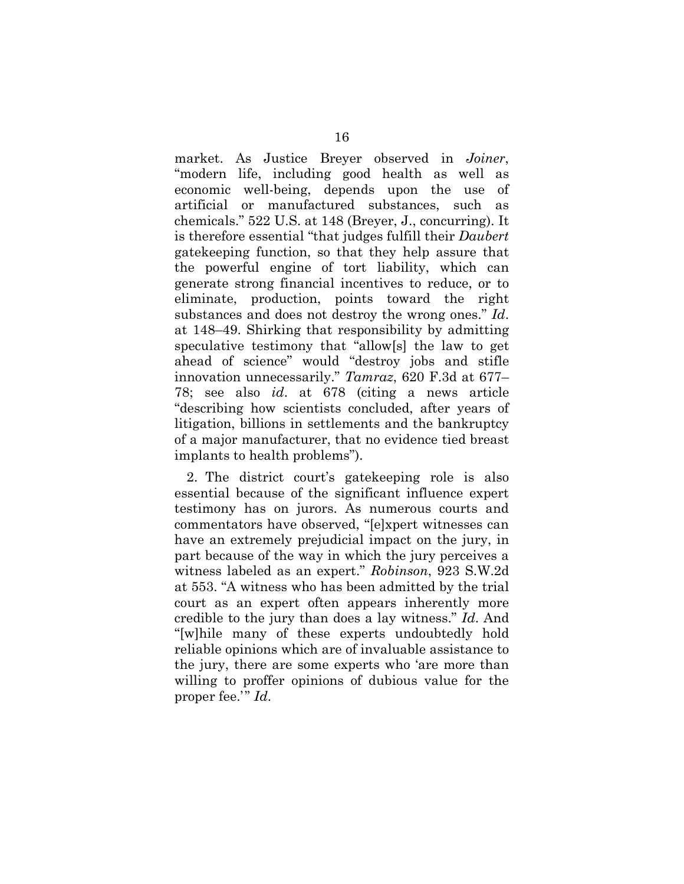market. As Justice Breyer observed in *Joiner*, "modern life, including good health as well as economic well-being, depends upon the use of artificial or manufactured substances, such as chemicals." 522 U.S. at 148 (Breyer, J., concurring). It is therefore essential "that judges fulfill their *Daubert*  gatekeeping function, so that they help assure that the powerful engine of tort liability, which can generate strong financial incentives to reduce, or to eliminate, production, points toward the right substances and does not destroy the wrong ones." *Id*. at 148–49. Shirking that responsibility by admitting speculative testimony that "allow[s] the law to get ahead of science" would "destroy jobs and stifle innovation unnecessarily." *Tamraz*, 620 F.3d at 677– 78; see also *id*. at 678 (citing a news article "describing how scientists concluded, after years of litigation, billions in settlements and the bankruptcy of a major manufacturer, that no evidence tied breast implants to health problems").

2. The district court's gatekeeping role is also essential because of the significant influence expert testimony has on jurors. As numerous courts and commentators have observed, "[e]xpert witnesses can have an extremely prejudicial impact on the jury, in part because of the way in which the jury perceives a witness labeled as an expert." *Robinson*, 923 S.W.2d at 553. "A witness who has been admitted by the trial court as an expert often appears inherently more credible to the jury than does a lay witness." *Id*. And "[w]hile many of these experts undoubtedly hold reliable opinions which are of invaluable assistance to the jury, there are some experts who 'are more than willing to proffer opinions of dubious value for the proper fee.'" *Id*.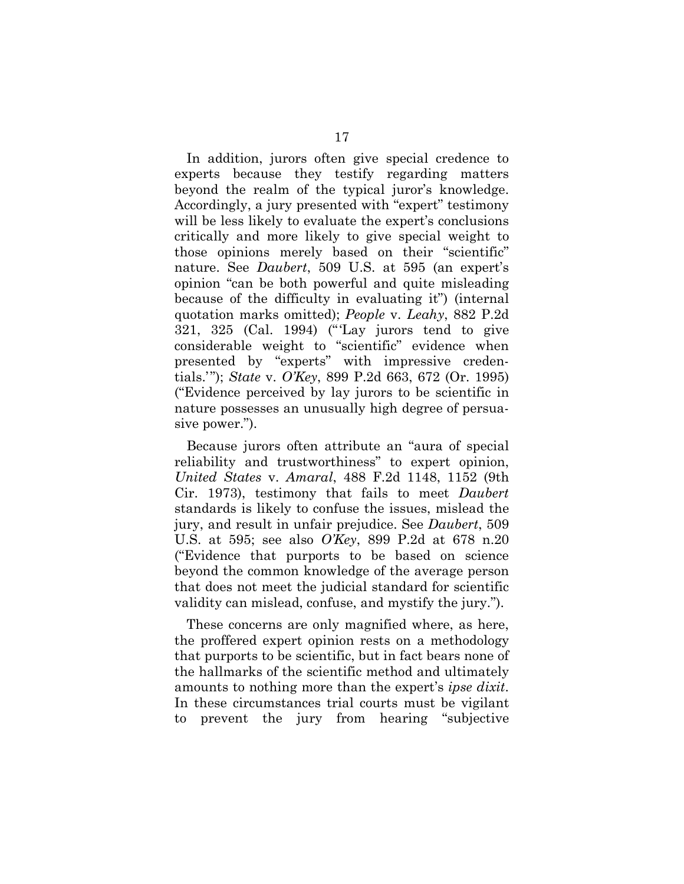In addition, jurors often give special credence to experts because they testify regarding matters beyond the realm of the typical juror's knowledge. Accordingly, a jury presented with "expert" testimony will be less likely to evaluate the expert's conclusions critically and more likely to give special weight to those opinions merely based on their "scientific" nature. See *Daubert*, 509 U.S. at 595 (an expert's opinion "can be both powerful and quite misleading because of the difficulty in evaluating it") (internal quotation marks omitted); *People* v. *Leahy*, 882 P.2d 321, 325 (Cal. 1994) ("'Lay jurors tend to give considerable weight to "scientific" evidence when presented by "experts" with impressive credentials.'"); *State* v. *O'Key*, 899 P.2d 663, 672 (Or. 1995) ("Evidence perceived by lay jurors to be scientific in nature possesses an unusually high degree of persuasive power.").

Because jurors often attribute an "aura of special reliability and trustworthiness" to expert opinion, *United States* v. *Amaral*, 488 F.2d 1148, 1152 (9th Cir. 1973), testimony that fails to meet *Daubert* standards is likely to confuse the issues, mislead the jury, and result in unfair prejudice. See *Daubert*, 509 U.S. at 595; see also *O'Key*, 899 P.2d at 678 n.20 ("Evidence that purports to be based on science beyond the common knowledge of the average person that does not meet the judicial standard for scientific validity can mislead, confuse, and mystify the jury.").

These concerns are only magnified where, as here, the proffered expert opinion rests on a methodology that purports to be scientific, but in fact bears none of the hallmarks of the scientific method and ultimately amounts to nothing more than the expert's *ipse dixit*. In these circumstances trial courts must be vigilant to prevent the jury from hearing "subjective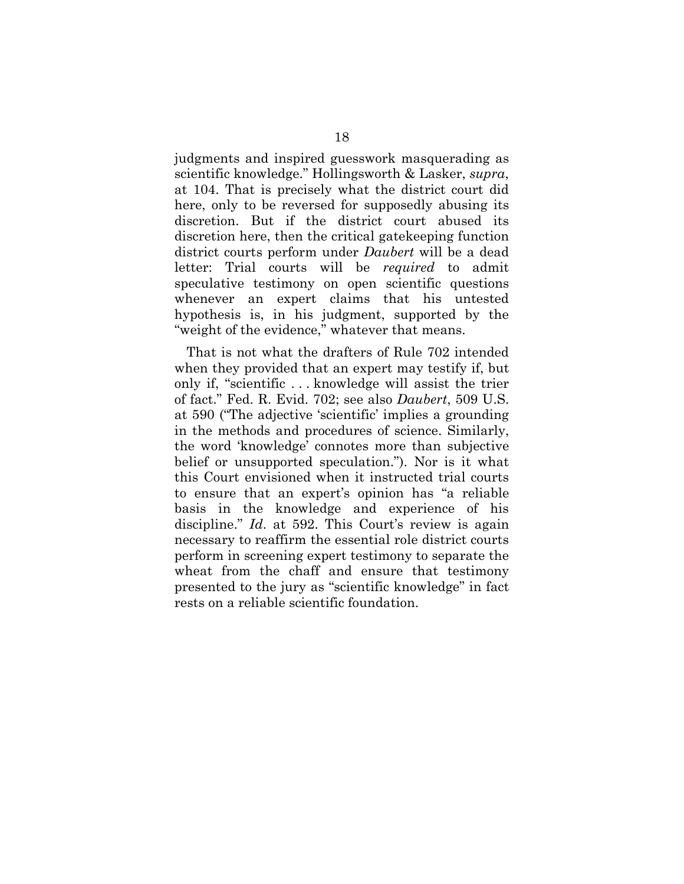judgments and inspired guesswork masquerading as scientific knowledge." Hollingsworth & Lasker, *supra*, at 104. That is precisely what the district court did here, only to be reversed for supposedly abusing its discretion. But if the district court abused its discretion here, then the critical gatekeeping function district courts perform under *Daubert* will be a dead letter: Trial courts will be *required* to admit speculative testimony on open scientific questions whenever an expert claims that his untested hypothesis is, in his judgment, supported by the "weight of the evidence," whatever that means.

That is not what the drafters of Rule 702 intended when they provided that an expert may testify if, but only if, "scientific . . . knowledge will assist the trier of fact." Fed. R. Evid. 702; see also *Daubert*, 509 U.S. at 590 ("The adjective 'scientific' implies a grounding in the methods and procedures of science. Similarly, the word 'knowledge' connotes more than subjective belief or unsupported speculation."). Nor is it what this Court envisioned when it instructed trial courts to ensure that an expert's opinion has "a reliable basis in the knowledge and experience of his discipline." *Id.* at 592. This Court's review is again necessary to reaffirm the essential role district courts perform in screening expert testimony to separate the wheat from the chaff and ensure that testimony presented to the jury as "scientific knowledge" in fact rests on a reliable scientific foundation.